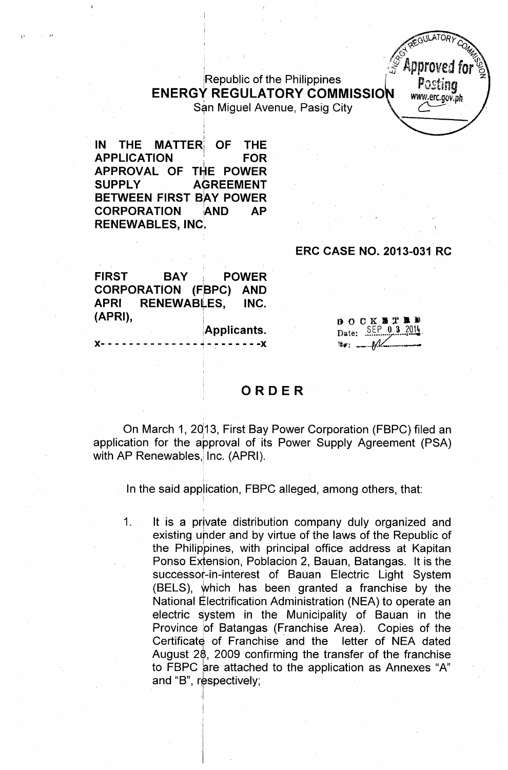Republic of the Philippines **ENERGY REGULATORY COMMISSIO** San Miguel Avenue, Pasig City

i **IN THE** MATTER; **OF THE APPLICATION , FOR APPROVAL OF** T~E **POWER SUPPL V AGREEMENT BETWEEN FIRST BlAV POWER CORPORATION** lAND **AP RENEWABLES, INC.**

i

~.. .'

## **ERC CASE NO.** 2013-031. **RC**

**AULATOR** 

**Approved fo** 

Postina www.erc.gov.ph

**FIRST BAV: POWER CORPORATION (FBPC) AND APRI RENEWABLES. INC. (APRI),** <sup>I</sup>

)(- - - - - - - - - - - - - - ~. - - - - - - - -)(

i

!

. !

Applicants.

 $B$  O C K B T K B Date: SEP 0 3 2014 **Ti•. :** *--l!f£.(\_ ....\_ ......-..*

## **ORDER**

On March 1, 2013, First Bay Power Corporation (FBPC) filed an application for the approval of its Power Supply Agreement (PSA) with AP Renewables, Inc. (APRI).

In the said application, FBPC alleged, among others, that:

1. It is a private distribution company duly organized and existing under and by virtue of the laws of the Republic of the Philippines, with principal office address at Kapitan Ponso Extension, Poblacion 2, Bauan, Batangas. It is the successor-in-interest of Bauan Electric Light System  $(BELS)$ , which has been granted a franchise by the National Electrification Administration (NEA) to operate an electric system in the Municipality of Bauan in the Province of Batangas (Franchise Area). Copies of the Certificate of Franchise and the letter of NEA dated August 28, 2009 confirming the transfer of the franchise to FBPC are attached to the application as Annexes "A" and "B", respectively;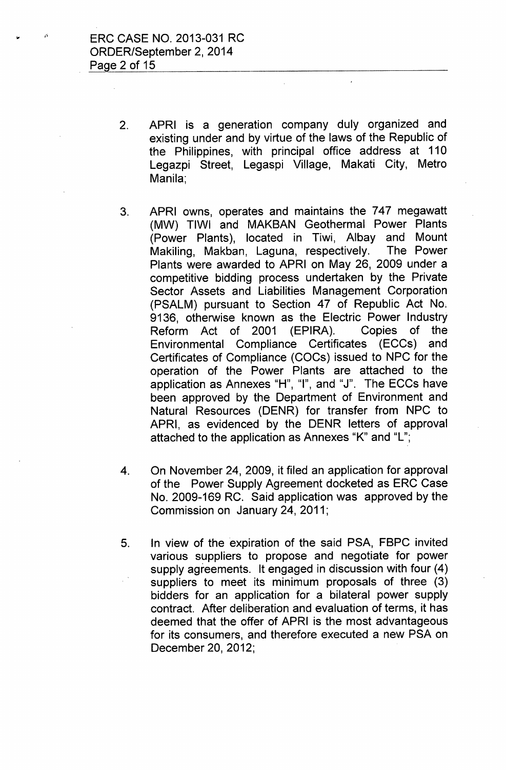- 2. APRI is a generation company duly organized and existing under and by virtue of the laws of the Republic of the Philippines, with principal office address at 110 Legazpi Street, Legaspi Village, Makati City, Metro Manila;
- 3. APRI owns, operates and maintains the 747 megawatt (MW) TIWI and MAKBAN Geothermal Power Plants (Power Plants), located in Tiwi, Albay and Mount Makiling, Makban, Laguna, respectively. The Power Plants were awarded to APRI on May 26, 2009 under a competitive bidding process undertaken by the Private Sector Assets and Liabilities Management Corporation (PSALM) pursuant to Section 47 of Republic Act No, 9136, otherwise known as the Electric Power Industry Reform Act of 2001 (EPIRA). Copies of the Environmental Compliance Certificates (ECCs) and Certificates of Compliance (COCs) issued to NPC for the operation of the Power Plants are attached to the application as Annexes "H", "1", and "J". The ECCs have been approved by the Department of Environment and Natural Resources (DENR) for transfer from NPC to APRI, as evidenced by the DENR letters of approval attached to the application as Annexes "K" and "L";
- 4. On November 24, 2009, it filed an application for approval of the Power Supply Agreement docketed as ERC Case No. 2009-169 RC. Said application was approved by the Commission on January 24, 2011;
- 5. In view of the expiration of the said PSA, FBPC invited various suppliers to propose and negotiate for power supply agreements. It engaged in discussion with four (4) suppliers to meet its minimum proposals of three (3) bidders for an application for a bilateral power supply contract. After deliberation and evaluation of terms, it has deemed that the offer of APRI is the most advantageous for its consumers, and therefore executed a new PSA on December 20,2012;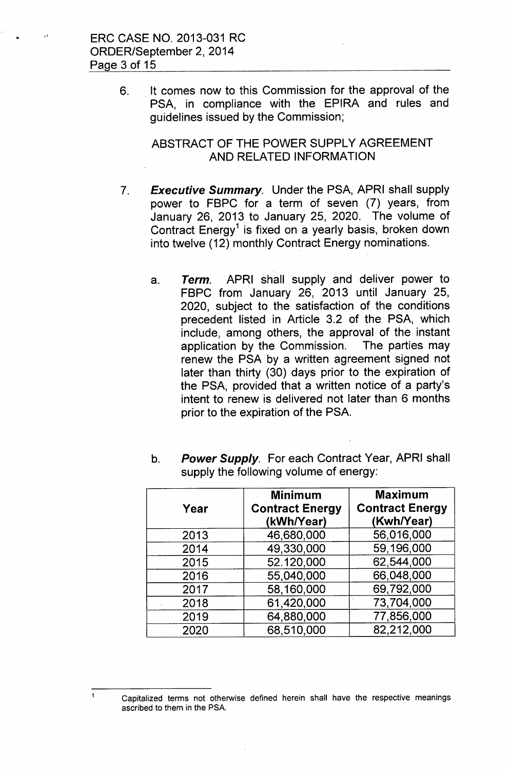6. . It comes now to this Commission for the approval of the PSA, in compliance with the EPIRA and rules and guidelines issued by the Commission;

# ABSTRACT OF THE POWER SUPPLY AGREEMENT AND RELATED INFORMATION

- *7. Executive Summary.* Under the PSA, APRI shall supply power to FBPC for a term of seven (7) years, from January 26, 2013 to January 25, 2020. The volume of Contract Energy<sup>1</sup> is fixed on a yearly basis, broken down into twelve (12) monthly Contract Energy nominations.
	- a. *Term.* APRI shall supply and deliver power to FBPC from January 26, 2013 until January 25, 2020, subject to the satisfaction of the conditions precedent listed in Article 3.2 of the PSA, which include, among others, the approval of the instant application by the Commission. The parties may renew the PSA by a written agreement signed not later than thirty (30) days prior to the expiration of the PSA, provided that a written notice of a party's intent to renew is delivered not later than 6 months prior to the expiration of the PSA.

| Year | <b>Minimum</b><br><b>Contract Energy</b><br>(kWh/Year) | <b>Maximum</b><br><b>Contract Energy</b><br>(Kwh/Year) |
|------|--------------------------------------------------------|--------------------------------------------------------|
| 2013 | 46,680,000                                             | 56,016,000                                             |
| 2014 | 49,330,000                                             | 59,196,000                                             |
| 2015 | 52.120,000                                             | 62,544,000                                             |
| 2016 | 55,040,000                                             | 66,048,000                                             |
| 2017 | 58,160,000                                             | 69,792,000                                             |
| 2018 | 61,420,000                                             | 73,704,000                                             |
| 2019 | 64,880,000                                             | 77,856,000                                             |
| 2020 | 68,510,000                                             | 82,212,000                                             |

b. *Power Supply.* For each Contract Year, APRI shall supply the following volume of energy:

 $\ddot{\mathbf{1}}$ 

Capitalized terms not otherwise defined herein shall have the respective meanings ascribed to them in the PSA.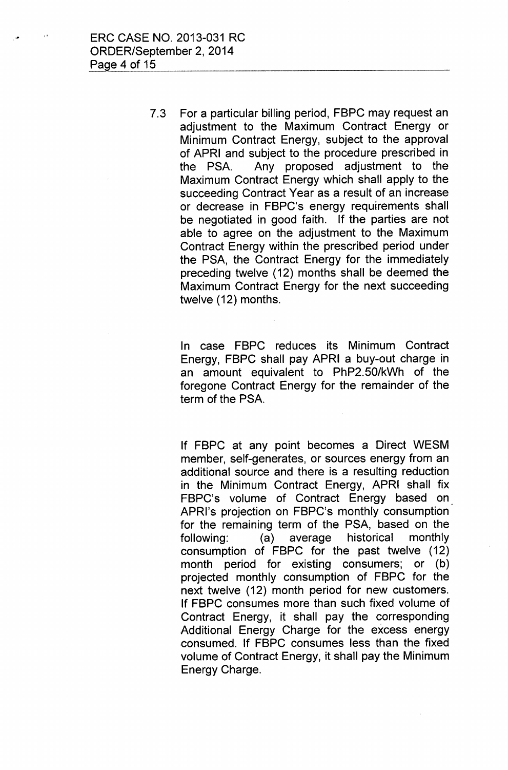7.3 For a particular billing period, FBPC may request an adjustment to the Maximum Contract Energy or Minimum Contract Energy, subject to the approval of APRI and subject to the procedure prescribed in the PSA. Any proposed adjustment to the Maximum Contract Energy which shall apply to the succeeding Contract Year as a result of an increase or decrease in FBPC's energy requirements shall be negotiated in good faith. If the parties are not able to agree on the adjustment to the Maximum Contract Energy within the prescribed period under the PSA, the Contract Energy for the immediately preceding twelve (12) months shall be deemed the Maximum Contract Energy for the next succeeding twelve (12) months.

In case FBPC reduces its Minimum Contract Energy; FBPC shall pay APRI a buy-out charge in an amount equivalent to PhP2.50/kWh of the foregone Contract Energy for the remainder of the term of the PSA.

If FBPC at any point becomes a Direct WESM member, self-generates, or sources energy from an additional source and there is a resulting reduction in the Minimum Contract Energy, APRI shall fix FBPC's volume of Contract Energy based on. APRl's projection on FBPC's monthly consumption for the remaining term of the PSA, based on the following: (a) average historical monthly consumption of FBPC for the past twelve (12) month period for existing consumers; or (b) projected monthly consumption of FBPC for the next twelve (12) month period for new customers. If FBPC consumes more than such fixed volume of Contract Energy, it shall pay the corresponding Additional Energy Charge for the excess energy consumed. If FBPC consumes less than the fixed volume of Contract Energy, it shall pay the Minimum Energy Charge.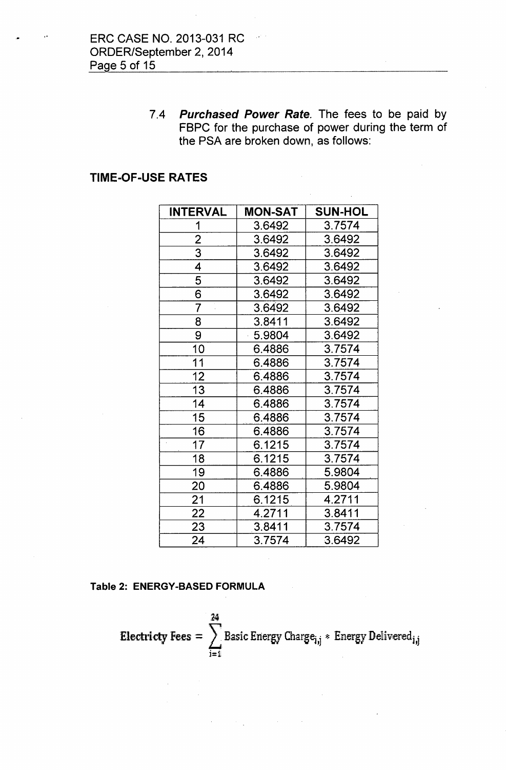ERC CASE NO. 2013-031 RC ORDER/September 2, 2014 Page 5 of 15

> *7.4 Purchased Power Rate.* The fees to be paid by FBPC for the purchase of power during the term of the PSA are broken down, as follows:

# TIME-OF-USE RATES

| <b>INTERVAL</b> | <b>MON-SAT</b> | <b>SUN-HOL</b> |
|-----------------|----------------|----------------|
| 1               | 3.6492         | 3.7574         |
| $\overline{2}$  | 3.6492         | 3.6492         |
| $\overline{3}$  | 3.6492         | 3.6492         |
| $\overline{4}$  | 3.6492         | 3.6492         |
| $\overline{5}$  | 3.6492         | 3.6492         |
| $\overline{6}$  | 3.6492         | 3.6492         |
| $\overline{7}$  | 3.6492         | 3.6492         |
| $\overline{8}$  | 3.8411         | 3.6492         |
| 9               | 5.9804         | 3.6492         |
| 10              | 6.4886         | 3.7574         |
| 11              | 6.4886         | 3.7574         |
| 12              | 6.4886         | 3.7574         |
| 13              | 6.4886         | 3.7574         |
| 14              | 6.4886         | 3.7574         |
| 15              | 6.4886         | 3.7574         |
| 16              | 6.4886         | 3.7574         |
| 17              | 6.1215         | 3.7574         |
| 18              | 6.1215         | 3.7574         |
| 19              | 6.4886         | 5.9804         |
| 20              | 6.4886         | 5.9804         |
| 21              | 6.1215         | 4.2711         |
| 22              | 4.2711         | 3.8411         |
| 23              | 3.8411         | 3.7574         |
| 24              | 3.7574         | 3.6492         |

#### Table 2: ENERGY-BASED FORMULA

,24 Electricty Fees  $=$   $\sum$  Basic Energy Charge<sub>i,j</sub>  $*$  Energy Delivered j=1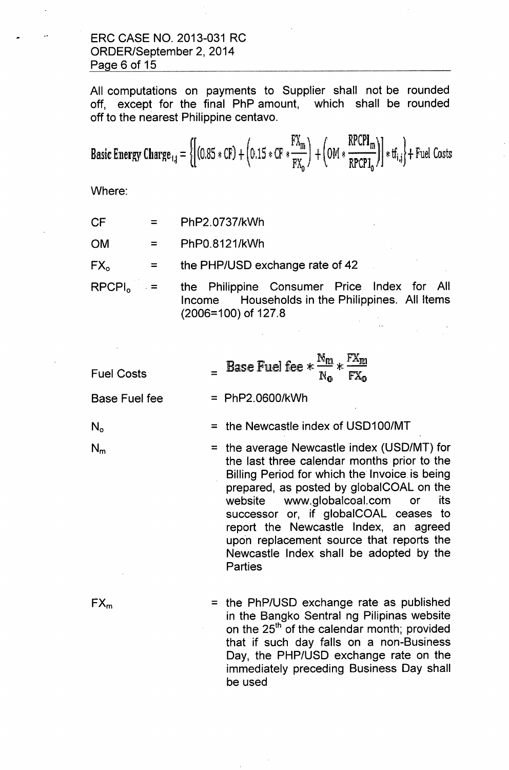# ERC CASE NO. 2013-031 RC ORDER/September 2, 2014 Page 6 of 15

All computations on payments to Supplier shall not be rounded off, except for the final PhP amount, which shall be rounded off to the nearest Philippine centavo.

Basic Energy Charge<sub>1,j</sub> = 
$$
\left\{ \left[ (0.85 * CF) + (0.15 * CF * \frac{FX_m}{FX_0}) + (0M * \frac{RPCPI_m}{RPCPI_0}) \right] * tf_{i,j} \right\} +
$$
 fuel Costs

Where:

 $CF =$ PhP2.0737/kWh

 $OM =$ PhPO.8121/kWh

 $FX_0 =$ the PHP/USD exchange rate of 42

RPCPI<sub>2</sub>  $\blacksquare$ . the Philippine Consumer Price Index for All Income Households in the Philippines. All Items (2006=100) of 127.8

| <b>Fuel Costs</b> | Base Fuel fee $* \frac{N_m}{N} * \frac{FX_m}{N}$ | N <sub>o</sub> | $FX_{\Omega}$ |
|-------------------|--------------------------------------------------|----------------|---------------|
|                   |                                                  |                |               |

Base Fuel fee = PhP2.0600/kWh

 $N_{o}$ 

= the Newcastle index of USD1 OO/MT

= the average Newcastle index (USD/MT) for  $N_m$ the last three calendar months prior to the Billing Period for which the Invoice is being prepared, as posted by globalCOAL on the website [www.globalcoal.com](http://www.globalcoal.com) or its successor or, if globalCOAL ceases to report the Newcastle Index, an agreed upon replacement source that reports the Newcastle Index shall be adopted by the **Parties** 

 $FX_m$ 

= the PhP/USD exchange rate as published in the Bangko Sentral ng Pilipinas website on the 25<sup>th</sup> of the calendar month; provided that if such day falls on a non-Business Day, the PHP/USD exchange rate on the immediately preceding Business Day shall be used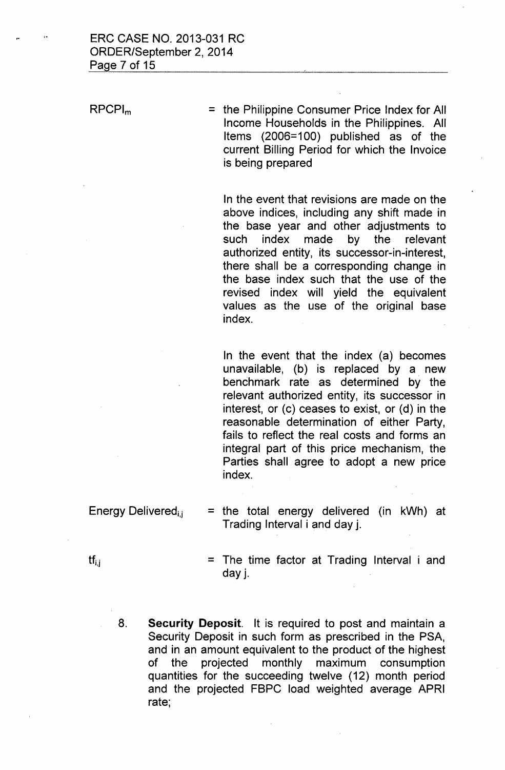RPCPl<sup>m</sup>

= the Philippine Consumer Price Index for All Income Households in the Philippines. All Items (2006=100) published as of the current Billing Period for which the Invoice is being prepared

In the event that revisions are made on the above indices, including any shift made in the base year and other adjustments to such index made by the relevant authorized entity, its successor-in-interest, there shall be a corresponding change in the base index such that the use of the revised index will yield the equivalent values as the use of the original base index.

In the event that the index (a) becomes unavailable, (b) is replaced by a new benchmark rate as determined by the relevant authorized entity, its successor in interest, or (c) ceases to exist, or (d) in the reasonable determination of either Party, fails to reflect the real costs and forms an integral part of this price mechanism, the Parties shall agree to adopt a new price index.

Energy Delivered<sub>ij</sub>

= the total energy delivered (in kWh) at Trading Interval i and day j.

 $\mathsf{tf}_{i,j}$ 

- $=$  The time factor at Trading Interval i and day j.
- 8. **Security Deposit.** It is required to post and maintain a Security Deposit in such form as prescribed in the PSA, and in an amount equivalent to the product of the highest of the projected monthly maximum consumption quantities for the succeeding twelve (12) month period and the projected FBPC load weighted average APRI rate;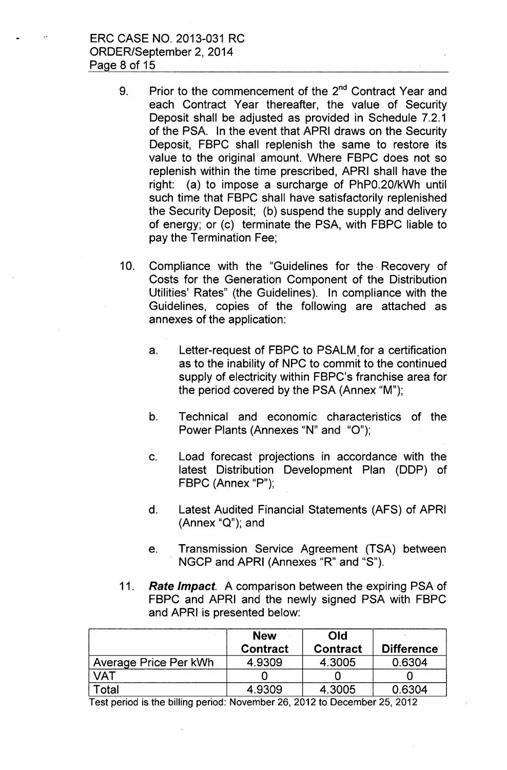ERC CASE NO. 2013-031 RC ORDER/September 2, 2014 Page 8 of 15

- 9. Prior to the commencement of the 2<sup>nd</sup> Contract Year and each Contract Year thereafter, the value of Security Deposit shall be adjusted as provided in Schedule 7.2.1 of the PSA. In the event that APRI draws on the Security Deposit, FBPC shall replenish the same to restore its value to the original amount. Where FBPC does not so replenish within the time prescribed, APRI shall have the right: (a) to impose a surcharge of PhP0.20/kWh until such time that FBPC shall have satisfactorily replenished the Security Deposit; (b) suspend the supply and delivery of energy; or (c) terminate the PSA, with FBPC liable to pay the Termination Fee;
- 10. Compliance with the "Guidelines for the Recovery of Costs for the Generation Component of the Distribution Utilities' Rates" (the Guidelines). In compliance with the Guidelines, copies of the following are attached as annexes of the application:
	- a. Letter-request of FBPC to PSALM for a certification as to the inability of NPC to commit to the continued supply of electricity within FBPC's franchise area for the period covered by the PSA (Annex "M");
	- b. Technical and economic characteristics of the Power Plants (Annexes "N" and "0");
	- c. Load forecast projections in accordance with the latest Distribution Development Plan (DDP) of  $FBPC$  (Annex "P");
	- d. Latest Audited Financial Statements (AFS) of APRI (Annex "Q"); and
	- e. Transmission Service Agreement (TSA) between NGCP and APRI (Annexes "R" and "S").
- *11. Rate Impact.* A comparison between the expiring PSA of FBPC and APRI and the newly signed PSA with FBPC and APRI is presented below:

|                       | <b>New</b>      | Old             |                   |
|-----------------------|-----------------|-----------------|-------------------|
|                       | <b>Contract</b> | <b>Contract</b> | <b>Difference</b> |
| Average Price Per kWh | 4.9309          | 4.3005          | 0.6304            |
|                       |                 |                 |                   |
| `otal                 | 4.9309          | 4.3005          | 0.6304            |

Test period is the billing period: November 26,2012 to December 25,2012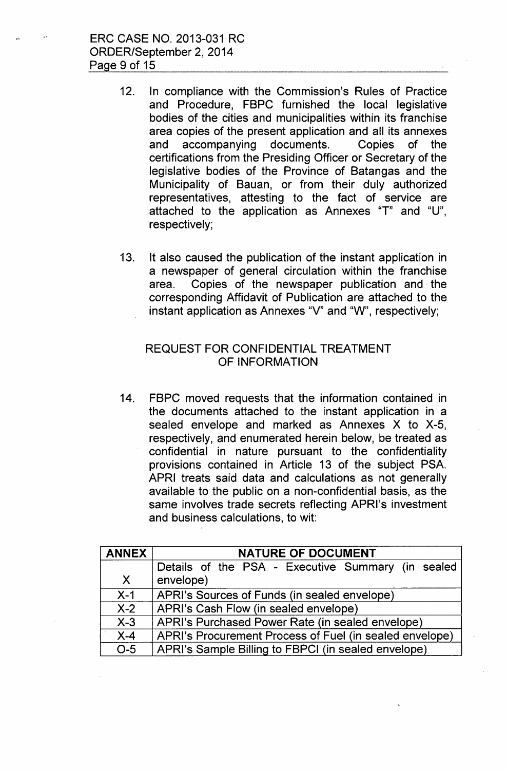ERC CASE NO. 2013-031 RC ORDER/September 2,2014 Page 9 of 15

- 12. In compliance with the Commission's Rules of Practice and Procedure, FBPC furnished the local legislative bodies of the cities and municipalities within its franchise area copies of the present application and all its annexes and accompanying documents. Copies of the certifications from the Presiding Officer or Secretary of the legislative bodies of the Province of Batangas and the Municipality of 8auan, or from their duly authorized representatives, attesting to the fact of service are attached to the application as Annexes "T" and "U", respectively;
- 13. It also caused the publication of the instant application in a newspaper of general circulation within the franchise area. Copies of the newspaper publication and the corresponding Affidavit of Publication are attached to the instant application as Annexes "V" and "W", respectively;

# REQUEST FOR CONFIDENTIAL TREATMENT OF INFORMATION

14. FBPC moved requests that the information contained in the documents attached to the instant application in a sealed envelope and marked as Annexes X to X-5, respectively, and enumerated herein below, be treated as confidential in nature pursuant to the confidentiality provisions contained in Article 13 of the subject PSA. APRI treats said data and calculations as not generally available to the public on a non-confidential basis, as the same involves trade secrets reflecting APRI's investment and business calculations, to wit:

| <b>ANNEX</b> | <b>NATURE OF DOCUMENT</b>                               |
|--------------|---------------------------------------------------------|
|              | Details of the PSA - Executive Summary (in sealed       |
| $\mathsf{X}$ | envelope)                                               |
| $X-1$        | APRI's Sources of Funds (in sealed envelope)            |
| $X-2$        | APRI's Cash Flow (in sealed envelope)                   |
| $X-3$        | APRI's Purchased Power Rate (in sealed envelope)        |
| $X-4$        | APRI's Procurement Process of Fuel (in sealed envelope) |
| $O-5$        | APRI's Sample Billing to FBPCI (in sealed envelope)     |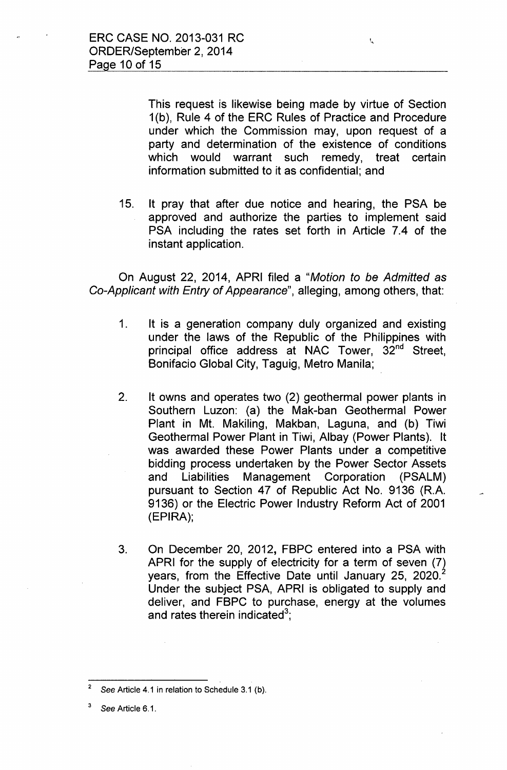This request is likewise being made by virtue of Section 1(b), Rule 4 of the ERC Rules of Practice and Procedure under which the Commission may, upon request of a party and determination of the existence of conditions which would warrant such remedy, treat certain information submitted to it as confidential; and

 $\zeta$ 

15. It pray that after due notice and hearing, the PSA be approved and authorize the parties to implement said PSA including the rates set forth in Article 7.4 of the instant application.

On August 22, 2014, APRI filed a "Motion to be Admitted as *Co-Applicant with Entry* of *Appearance",* alleging, among others, that:

- 1. It is a generation company duly organized and existing under the laws of the Republic of the Philippines with principal office address at NAC Tower, 32<sup>nd</sup> Street, Bonifacio Global City, Taguig, Metro Manila;
- 2. It owns and operates two (2) geothermal power plants in Southern Luzon: (a) the Mak-ban Geothermal Power Plant in Mt. Makiling, Makban, Laguna, and (b) Tiwi Geothermal Power Plant in Tiwi, Albay (Power Plants). It was awarded these Power Plants under a competitive bidding process undertaken by the Power Sector Assets and Liabilities Management Corporation (PSALM) pursuant to Section 47 of Republic Act No. 9136 (R.A. 9136) or the Electric Power Industry Reform Act of 2001 (EPIRA);
- 3. On December 20, 2012, FBPC entered into a PSA with APRI for the supply of electricity for a term of seven (7) years, from the Effective Date until January 25, 2020.<sup>2</sup> Under the subject PSA, APRI is obligated to supply and deliver, and FBPC to purchase, energy at the volumes and rates therein indicated $^3$

See Article 6.1.

See Article 4.1 in relation to Schedule 3.1 (b).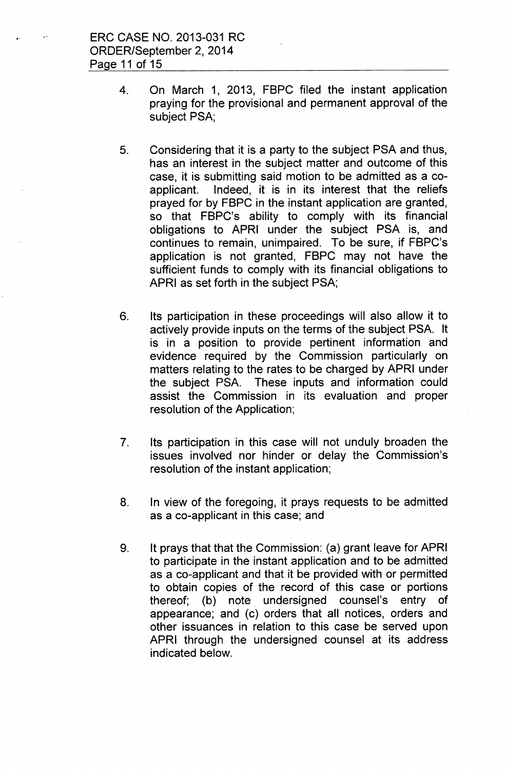- 4. On March 1, 2013, FBPC filed the instant application praying for the provisional and permanent approval of the subject PSA;
- 5. Considering that it is a party to the subject PSA and thus, has an interest in the subject matter and outcome of this case, it is submitting said motion to be admitted as a coapplicant. Indeed, it is in its interest that the reliefs prayed for by FBPC in the instant application are granted, so that FBPC's ability to comply with its financial obligations to APRI under the subject PSA is, and continues to remain, unimpaired. To be sure, if FBPC's application is not granted, FBPC may not have the sufficient funds to comply with its financial obligations to APRI as set forth in the subject PSA;
- 6. Its participation in these proceedings will also allow it to actively provide inputs on the terms of the subject PSA. It is in a position to provide pertinent information and evidence required by the Commission particularly on matters relating to the rates to be charged by APRI under the subject PSA. These inputs and information could assist the Commission in its evaluation and proper resolution of the Application;
- 7. Its participation in this case will not unduly broaden the issues involved nor hinder or delay the Commission's resolution of the instant application;
- 8. In view of the foregoing, it prays requests to be admitted as a co-applicant in this case; and
- 9. It prays that that the Commission: (a) grant leave for APRI to participate in the instant application and to be admitted as a co-applicant and that it be provided with or permitted to obtain copies of the record of this case or portions thereof; (b) note undersigned counsel's entry of appearance; and (c) orders that all notices, orders and other issuances in relation to this case be served upon APRI through the undersigned counsel at its address indicated below.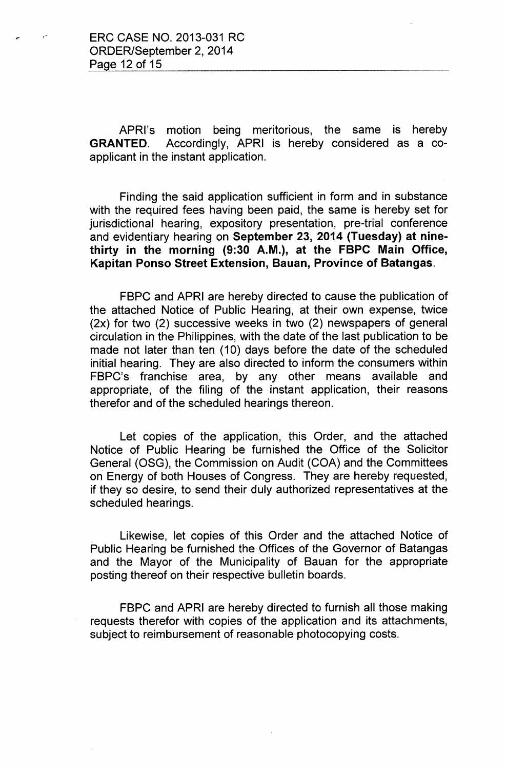APRl's motion being meritorious, the same is hereby GRANTED. Accordingly, APRI is hereby considered as a coapplicant in the instant application.

Finding the said application sufficient in form and in substance with the required fees having been paid, the same is hereby set for jurisdictional hearing, expository presentation, pre-trial conference and evidentiary hearing on September 23, 2014 (Tuesday) at ninethirty in the morning (9:30 A.M.), at the FBPC Main Office, Kapitan Ponso Street Extension, Bauan, Province of Batangas.

FBPC and APRI are hereby directed to cause the publication of the attached Notice of Public Hearing, at their own expense, twice (2x) for two (2) successive weeks in two (2) newspapers of general circulation in the Philippines, with the date of the last publication to be made not later than ten (10) days before the date of the scheduled initial hearing. They are also directed to inform the consumers within FBPC's franchise area, by any other means available and appropriate, of the filing of the instant application, their reasons therefor and of the scheduled hearings thereon.

Let copies of the application, this Order, and the attached Notice of Public Hearing be furnished the Office of the Solicitor General (OSG), the Commission on Audit (COA) and the Committees on Energy of both Houses of Congress. They are hereby requested, if they so desire, to send their duly authorized representatives at the scheduled hearings.

Likewise, let copies of this Order and the attached Notice of Public Hearing be furnished the Offices of the Governor of Batangas and the Mayor of the Municipality of Bauan for the appropriate posting thereof on their respective bulletin boards.

FBPC and APRI are hereby directed to furnish all those making requests therefor with copies of the application and its attachments, subject to reimbursement of reasonable photocopying costs.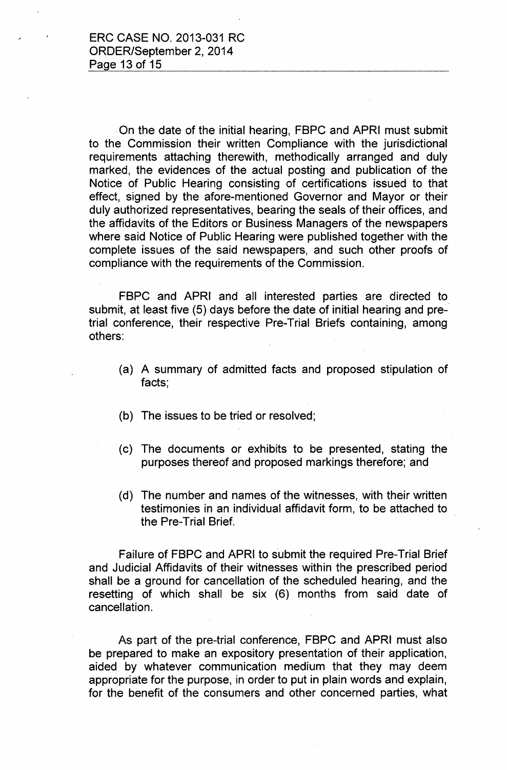.On the date of the initial hearing, FBPC and APRI must submit to the Commission their written Compliance with the jurisdictional requirements attaching therewith, methodically arranged and duly marked, the evidences of the actual posting and publication of the Notice of Public Hearing consisting of certifications issued to that effect, signed by the afore-mentioned Governor and Mayor or their duly authorized representatives, bearing the seals of their offices, and the affidavits of the Editors or Business Managers of the newspapers where said Notice of Public Hearing were published together with the complete issues of the said newspapers, and such other proofs of compliance with the requirements of the Commission.

FBPC and APRI and all interested parties are directed to submit, at least five (5) days before the date of initial hearing and pretrial conference, their respective Pre-Trial Briefs containing, among others:

- (a) A summary of admitted facts and proposed stipulation of facts;
- (b) The issues to be tried or resolved;
- (c) The documents or exhibits to be presented, stating the purposes thereof and proposed markings therefore; and
- (d) The number and names of the witnesses, with their written testimonies in an individual affidavit form, to be attached to the Pre-Trial Brief.

Failure of FBPC and APRI to submit the required Pre-Trial Brief and Judicial Affidavits of their witnesses within the prescribed period shall be a ground for cancellation of the scheduled hearing, and the resetting of which shall be six (6) months from said date of cancellation.

As part of the pre-trial conference, FBPC and APRI must also be prepared to make an expository presentation of their application, aided by whatever communication medium that they may deem appropriate for the purpose, in order to put in plain words and explain, for the benefit of the consumers and other concerned parties, what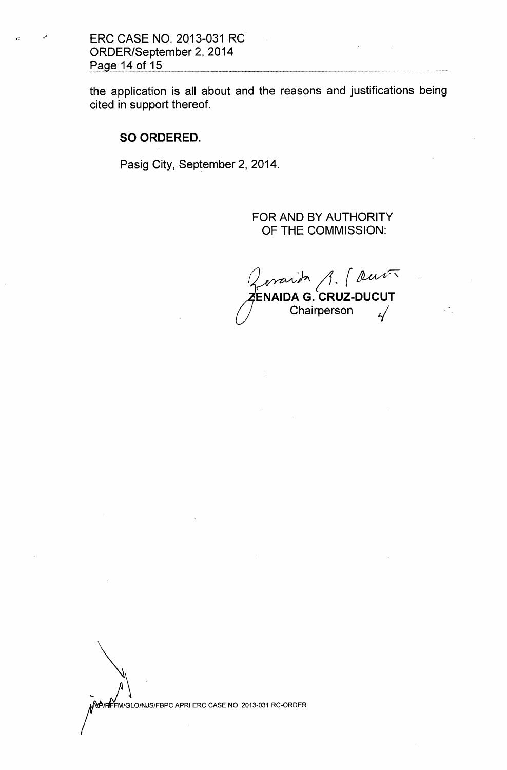**ERC CASE NO. 2013-031 RC ORDER/September 2,2014** Page 14 of 15

**the application is all about and the reasons and justifications being cited in support thereof.**

# **SO ORDERED.**

**Pasig City, September 2,2014.**

**FOR AND BY AUTHORITY OF THE COMMISSION:**

*~~;r. (~~* **ENAIDA G. CRUZ-DUCUT A G. CRUZ-DUCU**<br>Chairperson *I* 

WORFF MIGLOINJSIFBPC APRIERC CASE NO. 2013-031 RC-ORDER

 $\bigvee_{\alpha}$